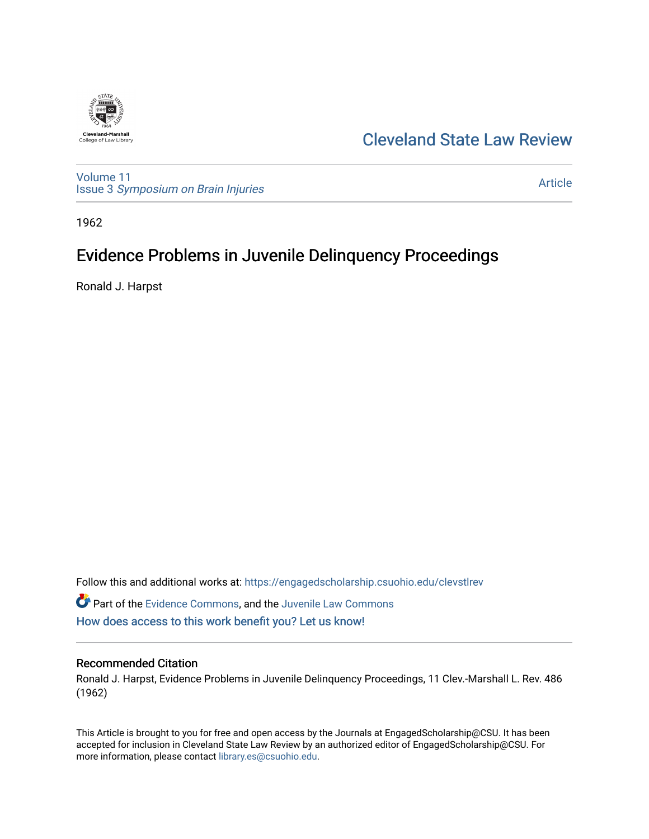

## [Cleveland State Law Review](https://engagedscholarship.csuohio.edu/clevstlrev)

[Volume 11](https://engagedscholarship.csuohio.edu/clevstlrev/vol11) Issue 3 [Symposium on Brain Injuries](https://engagedscholarship.csuohio.edu/clevstlrev/vol11/iss3) 

[Article](https://engagedscholarship.csuohio.edu/clevstlrev/vol11/iss3/9) 

1962

# Evidence Problems in Juvenile Delinquency Proceedings

Ronald J. Harpst

Follow this and additional works at: [https://engagedscholarship.csuohio.edu/clevstlrev](https://engagedscholarship.csuohio.edu/clevstlrev?utm_source=engagedscholarship.csuohio.edu%2Fclevstlrev%2Fvol11%2Fiss3%2F9&utm_medium=PDF&utm_campaign=PDFCoverPages)

Part of the [Evidence Commons,](http://network.bepress.com/hgg/discipline/601?utm_source=engagedscholarship.csuohio.edu%2Fclevstlrev%2Fvol11%2Fiss3%2F9&utm_medium=PDF&utm_campaign=PDFCoverPages) and the [Juvenile Law Commons](http://network.bepress.com/hgg/discipline/851?utm_source=engagedscholarship.csuohio.edu%2Fclevstlrev%2Fvol11%2Fiss3%2F9&utm_medium=PDF&utm_campaign=PDFCoverPages)  [How does access to this work benefit you? Let us know!](http://library.csuohio.edu/engaged/)

#### Recommended Citation

Ronald J. Harpst, Evidence Problems in Juvenile Delinquency Proceedings, 11 Clev.-Marshall L. Rev. 486 (1962)

This Article is brought to you for free and open access by the Journals at EngagedScholarship@CSU. It has been accepted for inclusion in Cleveland State Law Review by an authorized editor of EngagedScholarship@CSU. For more information, please contact [library.es@csuohio.edu](mailto:library.es@csuohio.edu).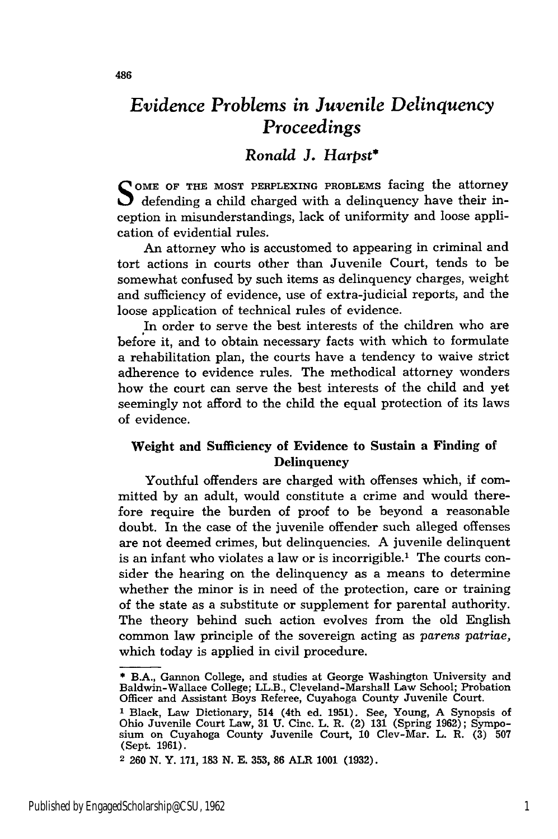### *Evidence Problems in Juvenile Delinquency Proceedings*

### *Ronald J. Harpst\**

**<sup>S</sup>OME OF THE** MOST **PERPLEXING PROBLEMS** facing the attorney defending a child charged with a delinquency have their inception in misunderstandings, lack of uniformity and loose application of evidential rules.

An attorney who is accustomed to appearing in criminal and tort actions in courts other than Juvenile Court, tends to be somewhat confused **by** such items as delinquency charges, weight and sufficiency of evidence, use of extra-judicial reports, and the loose application of technical rules of evidence.

In order to serve the best interests of the children who are before it, and to obtain necessary facts with which to formulate a rehabilitation plan, the courts have a tendency to waive strict adherence to evidence rules. The methodical attorney wonders how the court can serve the best interests of the child and yet seemingly not afford to the child the equal protection of its laws of evidence.

#### Weight and Sufficiency of Evidence to Sustain a Finding of **Delinquency**

Youthful offenders are charged with offenses which, if committed **by** an adult, would constitute a crime and would therefore require the burden of proof to be beyond a reasonable doubt. In the case of the juvenile offender such alleged offenses are not deemed crimes, but delinquencies. A juvenile delinquent is an infant who violates a law or is incorrigible.' The courts consider the hearing on the delinquency as a means to determine whether the minor is in need of the protection, care or training of the state as a substitute or supplement for parental authority. The theory behind such action evolves from the old English common law principle of the sovereign acting as *parens patriae,* which today is applied in civil procedure.

<sup>\*</sup> B.A., Gannon College, and studies at George Washington University and Baldwin-Wallace College; LL.B., Cleveland-Marshall Law School; Probation Officer and Assistant Boys Referee, Cuyahoga County Juvenile Court.

**<sup>1</sup>** Black, Law Dictionary, 514 (4th ed. 1951). See, Young, A Synopsis of Ohio Juvenile Court Law, 31 **U.** Cinc. L. R. (2) 131 (Spring 1962); Symposium on Cuyahoga County Juvenile Court, 10 Clev-Mar. L. R. (3) 507 (Sept. 1961).

<sup>2</sup> 260 N. Y. 171, **183 N. E.** 353, **86** ALR 1001 (1932).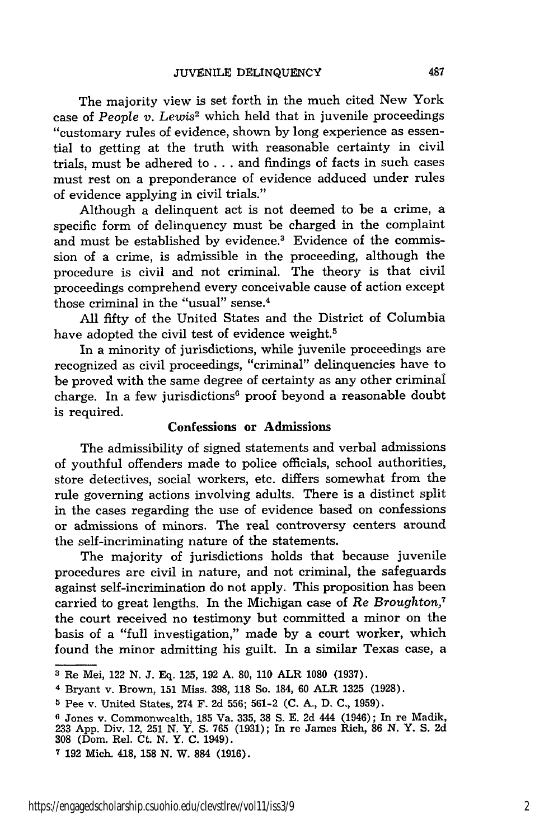The majority view is set forth in the much cited New York case of *People v. Lewis2* which held that in juvenile proceedings "customary rules of evidence, shown by long experience as essential to getting at the truth with reasonable certainty in civil trials, must be adhered to .. . and findings of facts in such cases must rest on a preponderance of evidence adduced under rules of evidence applying in civil trials."

Although a delinquent act is not deemed to be a crime, a specific form of delinquency must be charged in the complaint and must be established by evidence.<sup>3</sup> Evidence of the commission of a crime, is admissible in the proceeding, although the procedure is civil and not criminal. The theory is that civil proceedings comprehend every conceivable cause of action except those criminal in the "usual" sense.<sup>4</sup>

All fifty of the United States and the District of Columbia have adopted the civil test of evidence weight.<sup>5</sup>

In a minority of jurisdictions, while juvenile proceedings are recognized as civil proceedings, "criminal" delinquencies have to be proved with the same degree of certainty as any other criminal charge. In a few jurisdictions $6$  proof beyond a reasonable doubt is required.

#### Confessions or Admissions

The admissibility of signed statements and verbal admissions of youthful offenders made to police officials, school authorities, store detectives, social workers, etc. differs somewhat from the rule governing actions involving adults. There is a distinct split in the cases regarding the use of evidence based on confessions or admissions of minors. The real controversy centers around the self-incriminating nature of the statements.

The majority of jurisdictions holds that because juvenile procedures are civil in nature, and not criminal, the safeguards against self-incrimination do not apply. This proposition has been carried to great lengths. In the Michigan case of *Re Broughton,7* the court received no testimony but committed a minor on the basis of a "full investigation," made **by** a court worker, which found the minor admitting his guilt. In a similar Texas case, a

**<sup>3</sup>**Re Mei, 122 **N. J. Eq. 125, 192 A. 80, 110** ALR **1080 (1937).**

**<sup>4</sup>**Bryant v. Brown, **151** Miss. **398, 118** So. 184, **60** ALR **1325 (1928).**

**<sup>5</sup>** Pee v. United States, 274 F. **2d 556; 561-2 (C. A., D. C., 1959).**

**<sup>6</sup>** Jones v. Commonwealth, **185** Va. **335, 38 S. E. 2d** 444 (1946); In re Madik, **233 App.** Div. 12, **251 N.** Y. **S. 765 (1931);** In re James Rich, **86 N.** Y. **S. 2d 308** (Dom. Rel. Ct. **N.** Y. **C.** 1949).

**<sup>7 192</sup>** Mich. 418, **158 N.** W. **884 (1916).**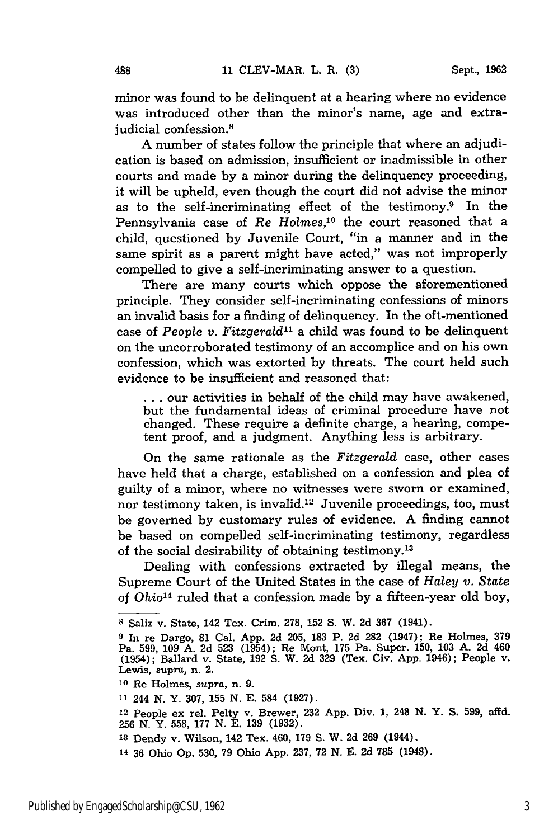minor was found to be delinquent at a hearing where no evidence was introduced other than the minor's name, age and extrajudicial confession.<sup>8</sup>

A number of states follow the principle that where an adjudication is based on admission, insufficient or inadmissible in other courts and made by a minor during the delinquency proceeding, it will be upheld, even though the court did not advise the minor as to the self-incriminating effect of the testimony.9 In the Pennsylvania case of *Re Holmes,'0* the court reasoned that a child, questioned by Juvenile Court, "in a manner and in the same spirit as a parent might have acted," was not improperly compelled to give a self-incriminating answer to a question.

There are many courts which oppose the aforementioned principle. They consider self-incriminating confessions of minors an invalid basis for a finding of delinquency. In the oft-mentioned case of *People v. Fitzgerald"* a child was found to be delinquent on the uncorroborated testimony of an accomplice and on his own confession, which was extorted by threats. The court held such evidence to be insufficient and reasoned that:

**...** our activities in behalf of the child may have awakened, but the fundamental ideas of criminal procedure have not changed. These require a definite charge, a hearing, competent proof, and a judgment. Anything less is arbitrary.

On the same rationale as the *Fitzgerald* case, other cases have held that a charge, established on a confession and plea of guilty of a minor, where no witnesses were sworn or examined, nor testimony taken, is invalid.<sup>12</sup> Juvenile proceedings, too, must be governed by customary rules of evidence. A finding cannot be based on compelled self-incriminating testimony, regardless of the social desirability of obtaining testimony.<sup>13</sup>

Dealing with confessions extracted by illegal means, the Supreme Court of the United States in the case of *Haley v. State* of *Ohio14* ruled that a confession made by a fifteen-year old boy,

**<sup>8</sup>** Saliz v. State, 142 Tex. Crim. 278, 152 S. W. 2d 367 (1941).

**<sup>9</sup>** In re Dargo, 81 Cal. App. 2d 205, 183 P. 2d 282 (1947); Re Holmes, 379 Pa. 599, 109 A. 2d 523 (1954); Re Mont, 175 Pa. Super. 150, 103 A. 2d 460 (1954); Ballard v. State, 192 **S.** W. 2d 329 (Tex. Civ. App. 1946); People v. Lewis, supra, n. 2. **<sup>10</sup>**Re Holmes, *supra,* n. 9.

**<sup>11</sup>**244 N. Y. 307, 155 N. E. 584 (1927).

<sup>12</sup> People ex rel. Pelty v. Brewer, 232 App. Div. 1, 248 N. Y. **S.** 599, affd. 256 N. Y. 558, 177 N. E. 139 (1932).

*<sup>13</sup>*Dendy v. Wilson, 142 Tex. 460, 179 **S.** W. 2d **269** (1944).

<sup>14</sup> **36** Ohio Op. **530, 79** Ohio App. **237, 72** N. E. **2d 785** (1948).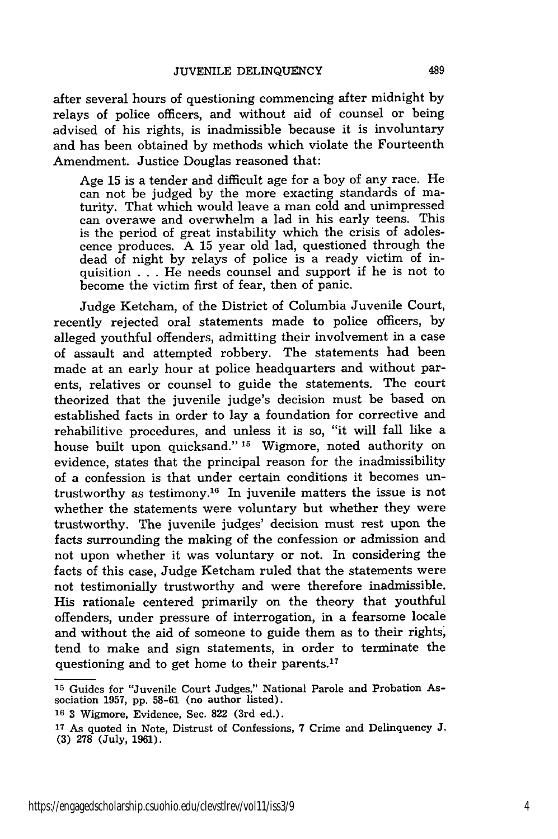after several hours of questioning commencing after midnight by relays of police officers, and without aid of counsel or being advised of his rights, is inadmissible because it is involuntary and has been obtained by methods which violate the Fourteenth Amendment. Justice Douglas reasoned that:

Age 15 is a tender and difficult age for a boy of any race. He can not be judged by the more exacting standards of maturity. That which would leave a man cold and unimpressed can overawe and overwhelm a lad in his early teens. This is the period of great instability which the crisis of adolescence produces. A 15 year old lad, questioned through the dead of night by relays of police is a ready victim of inquisition . . . He needs counsel and support if he is not to become the victim first of fear, then of panic.

Judge Ketcham, of the District of Columbia Juvenile Court, recently rejected oral statements made to police officers, by alleged youthful offenders, admitting their involvement in a case of assault and attempted robbery. The statements had been made at an early hour at police headquarters and without parents, relatives or counsel to guide the statements. The court theorized that the juvenile judge's decision must be based on established facts in order to lay a foundation for corrective and rehabilitive procedures, and unless it is so, "it will fall like a house built upon quicksand." **15** Wigmore, noted authority on evidence, states that the principal reason for the inadmissibility of a confession is that under certain conditions it becomes untrustworthy as testimony.<sup>16</sup> In juvenile matters the issue is not whether the statements were voluntary but whether they were trustworthy. The juvenile judges' decision must rest upon the facts surrounding the making of the confession or admission and not upon whether it was voluntary or not. In considering the facts of this case, Judge Ketcham ruled that the statements were not testimonially trustworthy and were therefore inadmissible. His rationale centered primarily on the theory that youthful offenders, under pressure of interrogation, in a fearsome locale and without the aid of someone to guide them as to their rights, tend to make and sign statements, in order to terminate the questioning and to get home to their parents.<sup>17</sup>

**<sup>15</sup>** Guides for "Juvenile Court Judges," National Parole and Probation Association 1957, pp. 58-61 (no author listed).

**<sup>16</sup>**3 Wigmore, Evidence, Sec. 822 (3rd ed.).

**<sup>17</sup>**As quoted in Note, Distrust of Confessions, 7 Crime and Delinquency J. (3) 278 (July, 1961).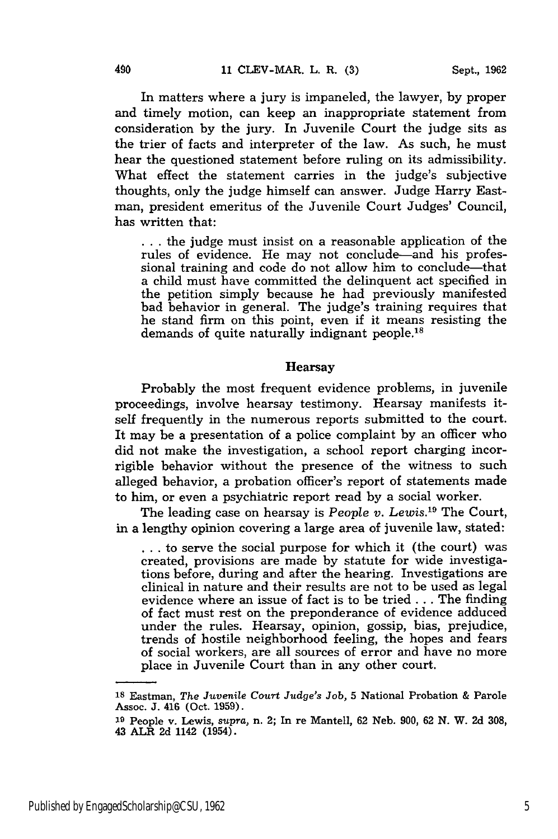In matters where a jury is impaneled, the lawyer, **by** proper and timely motion, can keep an inappropriate statement from consideration **by** the jury. In Juvenile Court the judge sits as the trier of facts and interpreter of the law. As such, he must hear the questioned statement before ruling on its admissibility. What effect the statement carries in the judge's subjective thoughts, only the judge himself can answer. Judge Harry Eastman, president emeritus of the Juvenile Court Judges' Council, has written that:

**...** the judge must insist on a reasonable application of the rules of evidence. He may not conclude—and his professional training and code do not allow him to conclude-that a child must have committed the delinquent act specified in the petition simply because he had previously manifested bad behavior in general. The judge's training requires that he stand firm on this point, even if it means resisting the demands of quite naturally indignant people.<sup>18</sup>

#### Hearsay

Probably the most frequent evidence problems, in juvenile proceedings, involve hearsay testimony. Hearsay manifests itself frequently in the numerous reports submitted to the court. It may be a presentation of a police complaint **by** an officer who did not make the investigation, a school report charging incorrigible behavior without the presence of the witness to such alleged behavior, a probation officer's report of statements made to him, or even a psychiatric report read **by** a social worker.

The leading case on hearsay is *People v. Lewis*.<sup>19</sup> The Court, in a lengthy opinion covering a large area of juvenile law, stated:

**...** to serve the social purpose for which it (the court) was created, provisions are made **by** statute for wide investigations before, during and after the hearing. Investigations are clinical in nature and their results are not to be used as legal evidence where an issue of fact is to be tried **...** The finding of fact must rest on the preponderance of evidence adduced under the rules. Hearsay, opinion, gossip, bias, prejudice, trends of hostile neighborhood feeling, the hopes and fears of social workers, are all sources of error and have no more place in Juvenile Court than in any other court.

**<sup>18</sup>**Eastman, *The Juvenile Court Judge's Job,* **5** National Probation **&** Parole Assoc. **J.** 416 (Oct. **1959).**

**<sup>19</sup>**People v. Lewis, *supra,* n. 2; In re Mantell, **62** Neb. **900, 62 N.** W. **2d 308,** 43 ALR **2d** 1142 (1954).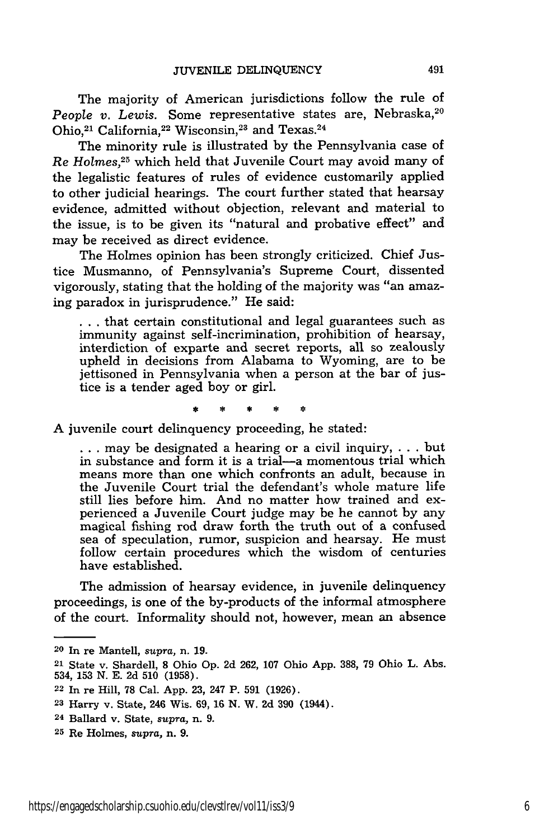The majority of American jurisdictions follow the rule of *People v. Lewis.* Some representative states are, Nebraska,<sup>20</sup> Ohio,<sup>21</sup> California,<sup>22</sup> Wisconsin,<sup>23</sup> and Texas.<sup>24</sup>

The minority rule is illustrated by the Pennsylvania case of *Re Holmes, <sup>25</sup>*which held that Juvenile Court may avoid many of the legalistic features of rules of evidence customarily applied to other judicial hearings. The court further stated that hearsay evidence, admitted without objection, relevant and material to the issue, is to be given its "natural and probative effect" and may be received as direct evidence.

The Holmes opinion has been strongly criticized. Chief Justice Musmanno, of Pennsylvania's Supreme Court, dissented vigorously, stating that the holding of the majority was "an amazing paradox in jurisprudence." He said:

**...** that certain constitutional and legal guarantees such as immunity against self-incrimination, prohibition of hearsay, interdiction of exparte and secret reports, all so zealously upheld in decisions from Alabama to Wyoming, are to be jettisoned in Pennsylvania when a person at the bar of justice is a tender aged boy or girl.

A juvenile court delinquency proceeding, he stated:

**...** may be designated a hearing or a civil inquiry, . . . but in substance and form it is a trial-a momentous trial which means more than one which confronts an adult, because in the Juvenile Court trial the defendant's whole mature life still lies before him. And no matter how trained and experienced a Juvenile Court judge may be he cannot by any magical fishing rod draw forth the truth out of a confused sea of speculation, rumor, suspicion and hearsay. He must follow certain procedures which the wisdom of centuries have established.

The admission of hearsay evidence, in juvenile delinquency proceedings, is one of the by-products of the informal atmosphere of the court. Informality should not, however, mean an absence

<sup>20</sup> In re Mantell, *supra,* n. **19.**

<sup>21</sup> State v. Shardell, **8** Ohio Op. 2d 262, 107 Ohio App. 388, 79 Ohio L. Abs. 534, 153 N. E. 2d 510 (1958).

<sup>22</sup> In re Hill, 78 Cal. App. 23, 247 P. **591** (1926).

**<sup>23</sup>** Harry v. State, 246 Wis. **69, 16** N. W. 2d 390 (1944).

**<sup>24</sup>**Ballard v. State, *supra,* n. 9.

**<sup>25</sup>**Re Holmes, *supra,* n. 9.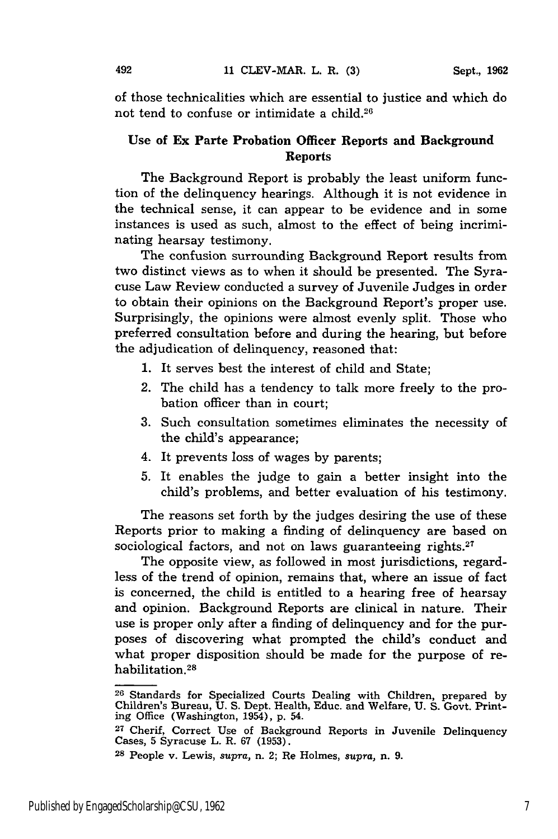of those technicalities which are essential to justice and which do not tend to confuse or intimidate a child.<sup>26</sup>

#### Use of **Ex Parte Probation Officer Reports and Background Reports**

The Background Report is probably the least uniform function of the delinquency hearings. Although it is not evidence in the technical sense, it can appear to be evidence and in some instances is used as such, almost to the effect of being incriminating hearsay testimony.

The confusion surrounding Background Report results from two distinct views as to when it should be presented. The Syracuse Law Review conducted a survey of Juvenile Judges in order to obtain their opinions on the Background Report's proper use. Surprisingly, the opinions were almost evenly split. Those who preferred consultation before and during the hearing, but before the adjudication of delinquency, reasoned that:

- 1. It serves best the interest of child and State;
- 2. The child has a tendency to talk more freely to the probation officer than in court;
- 3. Such consultation sometimes eliminates the necessity of the child's appearance;
- 4. It prevents loss of wages by parents;
- 5. It enables the judge to gain a better insight into the child's problems, and better evaluation of his testimony.

The reasons set forth by the judges desiring the use of these Reports prior to making a finding of delinquency are based on sociological factors, and not on laws guaranteeing rights. $27$ 

The opposite view, as followed in most jurisdictions, regardless of the trend of opinion, remains that, where an issue of fact is concerned, the child is entitled to a hearing free of hearsay and opinion. Background Reports are clinical in nature. Their use is proper only after a finding of delinquency and for the purposes of discovering what prompted the child's conduct and what proper disposition should be made for the purpose of rehabilitation.<sup>28</sup>

**<sup>26</sup>**Standards for Specialized Courts Dealing with Children, prepared by Children's Bureau, U. S. Dept. Health, Educ. and Welfare, U. S. Govt. Printing Office (Washington, 1954), p. 54.

**<sup>27</sup>**Cherif, Correct Use of Background Reports in Juvenile Delinquency Cases, 5 Syracuse L. R. 67 (1953).

**<sup>28</sup>**People v. Lewis, *supra,* n. 2; Re Holmes, *supra,* n. 9.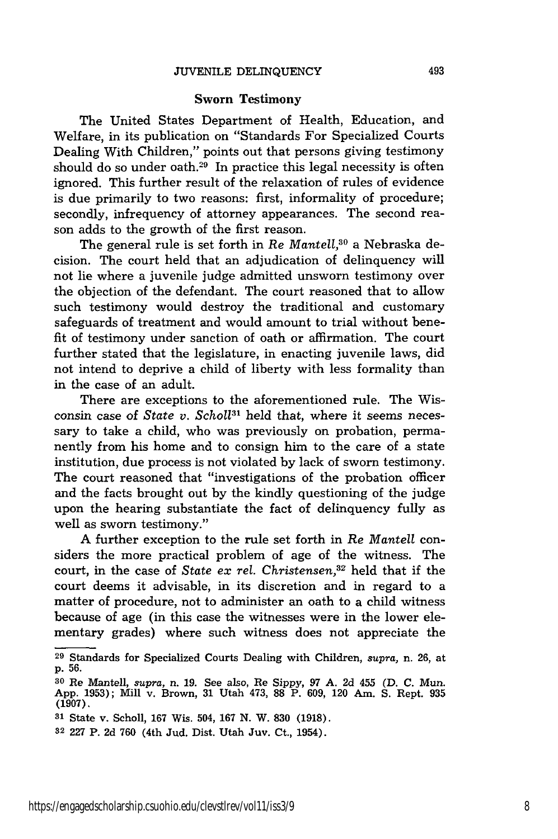#### Sworn Testimony

The United States Department of Health, Education, and Welfare, in its publication on "Standards For Specialized Courts Dealing With Children," points out that persons giving testimony should do so under oath. $^{29}$  In practice this legal necessity is often ignored. This further result of the relaxation of rules of evidence is due primarily to two reasons: first, informality of procedure; secondly, infrequency of attorney appearances. The second reason adds to the growth of the first reason.

The general rule is set forth in *Re Mantell,30* a Nebraska decision. The court held that an adjudication of delinquency will not lie where a juvenile judge admitted unsworn testimony over the objection of the defendant. The court reasoned that to allow such testimony would destroy the traditional and customary safeguards of treatment and would amount to trial without benefit of testimony under sanction of oath or affirmation. The court further stated that the legislature, in enacting juvenile laws, did not intend to deprive a child of liberty with less formality than in the case of an adult.

There are exceptions to the aforementioned rule. The Wisconsin case of *State v. Schol131* held that, where it seems necessary to take a child, who was previously on probation, permanently from his home and to consign him to the care of a state institution, due process is not violated by lack of sworn testimony. The court reasoned that "investigations of the probation officer and the facts brought out by the kindly questioning of the judge upon the hearing substantiate the fact of delinquency fully as well as sworn testimony."

A further exception to the rule set forth in *Re Mantell* considers the more practical problem of age of the witness. The court, in the case of *State ex rel.* Christensen,<sup>32</sup> held that if the court deems it advisable, in its discretion and in regard to a matter of procedure, not to administer an oath to a child witness because of age (in this case the witnesses were in the lower elementary grades) where such witness does not appreciate the

**<sup>29</sup>**Standards for Specialized Courts Dealing with Children, *supra,* n. 26, at p. 56.

**<sup>30</sup>**Re Mantell, *supra,* n. 19. See also, Re Sippy, 97 A. 2d 455 (D. C. Mun. App. 1953); Mill v. Brown, 31 Utah 473, **88** P. 609, 120 Am. S. Rept. 935  $(1907)$ ,

**<sup>31</sup>**State v. Scholl, 167 Wis. 504, 167 N. W. 830 (1918).

**<sup>32</sup>**227 P. 2d 760 (4th Jud. Dist. Utah Juv. Ct., 1954).